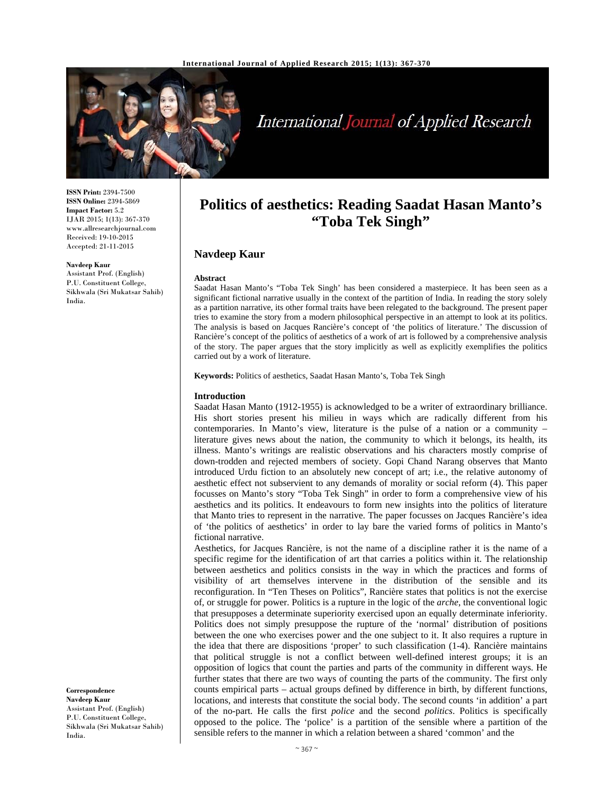

# International Journal of Applied Research

**ISSN Print:** 2394-7500 **ISSN Online:** 2394-5869 **Impact Factor:** 5.2 IJAR 2015; 1(13): 367-370 www.allresearchjournal.com Received: 19-10-2015 Accepted: 21-11-2015

#### **Navdeep Kaur**

Assistant Prof. (English) P.U. Constituent College, Sikhwala (Sri Mukatsar Sahib) India.

**Correspondence**

**Navdeep Kaur**  Assistant Prof. (English) P.U. Constituent College, Sikhwala (Sri Mukatsar Sahib) India.

# **Politics of aesthetics: Reading Saadat Hasan Manto's "Toba Tek Singh"**

# **Navdeep Kaur**

# **Abstract**

Saadat Hasan Manto's "Toba Tek Singh' has been considered a masterpiece. It has been seen as a significant fictional narrative usually in the context of the partition of India. In reading the story solely as a partition narrative, its other formal traits have been relegated to the background. The present paper tries to examine the story from a modern philosophical perspective in an attempt to look at its politics. The analysis is based on Jacques Rancière's concept of 'the politics of literature.' The discussion of Rancière's concept of the politics of aesthetics of a work of art is followed by a comprehensive analysis of the story. The paper argues that the story implicitly as well as explicitly exemplifies the politics carried out by a work of literature.

**Keywords:** Politics of aesthetics, Saadat Hasan Manto's, Toba Tek Singh

### **Introduction**

Saadat Hasan Manto (1912-1955) is acknowledged to be a writer of extraordinary brilliance. His short stories present his milieu in ways which are radically different from his contemporaries. In Manto's view, literature is the pulse of a nation or a community – literature gives news about the nation, the community to which it belongs, its health, its illness. Manto's writings are realistic observations and his characters mostly comprise of down-trodden and rejected members of society. Gopi Chand Narang observes that Manto introduced Urdu fiction to an absolutely new concept of art; i.e., the relative autonomy of aesthetic effect not subservient to any demands of morality or social reform (4). This paper focusses on Manto's story "Toba Tek Singh" in order to form a comprehensive view of his aesthetics and its politics. It endeavours to form new insights into the politics of literature that Manto tries to represent in the narrative. The paper focusses on Jacques Rancière's idea of 'the politics of aesthetics' in order to lay bare the varied forms of politics in Manto's fictional narrative.

Aesthetics, for Jacques Rancière, is not the name of a discipline rather it is the name of a specific regime for the identification of art that carries a politics within it. The relationship between aesthetics and politics consists in the way in which the practices and forms of visibility of art themselves intervene in the distribution of the sensible and its reconfiguration. In "Ten Theses on Politics", Rancière states that politics is not the exercise of, or struggle for power. Politics is a rupture in the logic of the *arche*, the conventional logic that presupposes a determinate superiority exercised upon an equally determinate inferiority. Politics does not simply presuppose the rupture of the 'normal' distribution of positions between the one who exercises power and the one subject to it. It also requires a rupture in the idea that there are dispositions 'proper' to such classification (1-4). Rancière maintains that political struggle is not a conflict between well-defined interest groups; it is an opposition of logics that count the parties and parts of the community in different ways. He further states that there are two ways of counting the parts of the community. The first only counts empirical parts – actual groups defined by difference in birth, by different functions, locations, and interests that constitute the social body. The second counts 'in addition' a part of the no-part. He calls the first *police* and the second *politics*. Politics is specifically opposed to the police. The 'police' is a partition of the sensible where a partition of the sensible refers to the manner in which a relation between a shared 'common' and the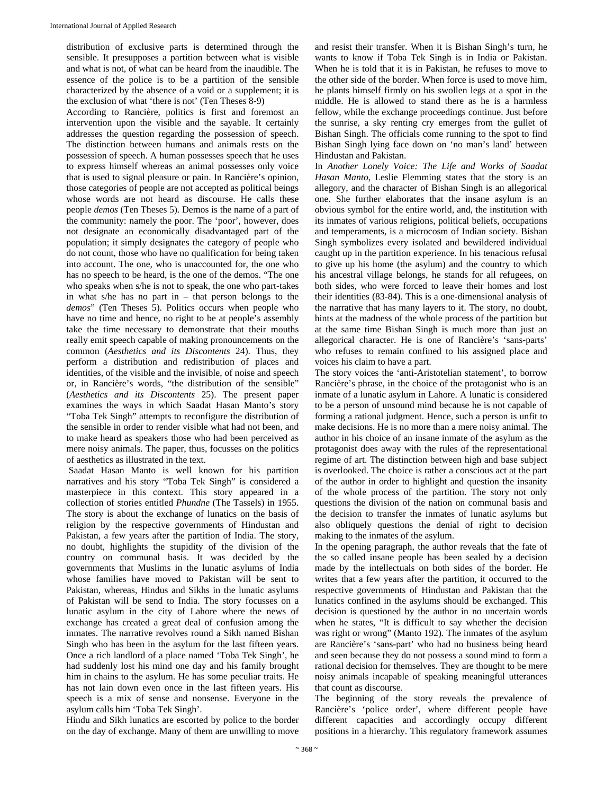distribution of exclusive parts is determined through the sensible. It presupposes a partition between what is visible and what is not, of what can be heard from the inaudible. The essence of the police is to be a partition of the sensible characterized by the absence of a void or a supplement; it is the exclusion of what 'there is not' (Ten Theses 8-9)

According to Rancière, politics is first and foremost an intervention upon the visible and the sayable. It certainly addresses the question regarding the possession of speech. The distinction between humans and animals rests on the possession of speech. A human possesses speech that he uses to express himself whereas an animal possesses only voice that is used to signal pleasure or pain. In Rancière's opinion, those categories of people are not accepted as political beings whose words are not heard as discourse. He calls these people *demos* (Ten Theses 5). Demos is the name of a part of the community: namely the poor. The 'poor', however, does not designate an economically disadvantaged part of the population; it simply designates the category of people who do not count, those who have no qualification for being taken into account. The one, who is unaccounted for, the one who has no speech to be heard, is the one of the demos. "The one who speaks when s/he is not to speak, the one who part-takes in what s/he has no part in – that person belongs to the *demos*" (Ten Theses 5). Politics occurs when people who have no time and hence, no right to be at people's assembly take the time necessary to demonstrate that their mouths really emit speech capable of making pronouncements on the common (*Aesthetics and its Discontents* 24). Thus, they perform a distribution and redistribution of places and identities, of the visible and the invisible, of noise and speech or, in Rancière's words, "the distribution of the sensible" (*Aesthetics and its Discontents* 25). The present paper examines the ways in which Saadat Hasan Manto's story "Toba Tek Singh" attempts to reconfigure the distribution of the sensible in order to render visible what had not been, and to make heard as speakers those who had been perceived as mere noisy animals. The paper, thus, focusses on the politics of aesthetics as illustrated in the text.

 Saadat Hasan Manto is well known for his partition narratives and his story "Toba Tek Singh" is considered a masterpiece in this context. This story appeared in a collection of stories entitled *Phundne* (The Tassels) in 1955. The story is about the exchange of lunatics on the basis of religion by the respective governments of Hindustan and Pakistan, a few years after the partition of India. The story, no doubt, highlights the stupidity of the division of the country on communal basis. It was decided by the governments that Muslims in the lunatic asylums of India whose families have moved to Pakistan will be sent to Pakistan, whereas, Hindus and Sikhs in the lunatic asylums of Pakistan will be send to India. The story focusses on a lunatic asylum in the city of Lahore where the news of exchange has created a great deal of confusion among the inmates. The narrative revolves round a Sikh named Bishan Singh who has been in the asylum for the last fifteen years. Once a rich landlord of a place named 'Toba Tek Singh', he had suddenly lost his mind one day and his family brought him in chains to the asylum. He has some peculiar traits. He has not lain down even once in the last fifteen years. His speech is a mix of sense and nonsense. Everyone in the asylum calls him 'Toba Tek Singh'.

Hindu and Sikh lunatics are escorted by police to the border on the day of exchange. Many of them are unwilling to move and resist their transfer. When it is Bishan Singh's turn, he wants to know if Toba Tek Singh is in India or Pakistan. When he is told that it is in Pakistan, he refuses to move to the other side of the border. When force is used to move him, he plants himself firmly on his swollen legs at a spot in the middle. He is allowed to stand there as he is a harmless fellow, while the exchange proceedings continue. Just before the sunrise, a sky renting cry emerges from the gullet of Bishan Singh. The officials come running to the spot to find Bishan Singh lying face down on 'no man's land' between Hindustan and Pakistan.

In *Another Lonely Voice: The Life and Works of Saadat Hasan Manto*, Leslie Flemming states that the story is an allegory, and the character of Bishan Singh is an allegorical one. She further elaborates that the insane asylum is an obvious symbol for the entire world, and, the institution with its inmates of various religions, political beliefs, occupations and temperaments, is a microcosm of Indian society. Bishan Singh symbolizes every isolated and bewildered individual caught up in the partition experience. In his tenacious refusal to give up his home (the asylum) and the country to which his ancestral village belongs, he stands for all refugees, on both sides, who were forced to leave their homes and lost their identities (83-84). This is a one-dimensional analysis of the narrative that has many layers to it. The story, no doubt, hints at the madness of the whole process of the partition but at the same time Bishan Singh is much more than just an allegorical character. He is one of Rancière's 'sans-parts' who refuses to remain confined to his assigned place and voices his claim to have a part.

The story voices the 'anti-Aristotelian statement', to borrow Rancière's phrase, in the choice of the protagonist who is an inmate of a lunatic asylum in Lahore. A lunatic is considered to be a person of unsound mind because he is not capable of forming a rational judgment. Hence, such a person is unfit to make decisions. He is no more than a mere noisy animal. The author in his choice of an insane inmate of the asylum as the protagonist does away with the rules of the representational regime of art. The distinction between high and base subject is overlooked. The choice is rather a conscious act at the part of the author in order to highlight and question the insanity of the whole process of the partition. The story not only questions the division of the nation on communal basis and the decision to transfer the inmates of lunatic asylums but also obliquely questions the denial of right to decision making to the inmates of the asylum.

In the opening paragraph, the author reveals that the fate of the so called insane people has been sealed by a decision made by the intellectuals on both sides of the border. He writes that a few years after the partition, it occurred to the respective governments of Hindustan and Pakistan that the lunatics confined in the asylums should be exchanged. This decision is questioned by the author in no uncertain words when he states, "It is difficult to say whether the decision was right or wrong" (Manto 192). The inmates of the asylum are Rancière's 'sans-part' who had no business being heard and seen because they do not possess a sound mind to form a rational decision for themselves. They are thought to be mere noisy animals incapable of speaking meaningful utterances that count as discourse.

The beginning of the story reveals the prevalence of Rancière's 'police order', where different people have different capacities and accordingly occupy different positions in a hierarchy. This regulatory framework assumes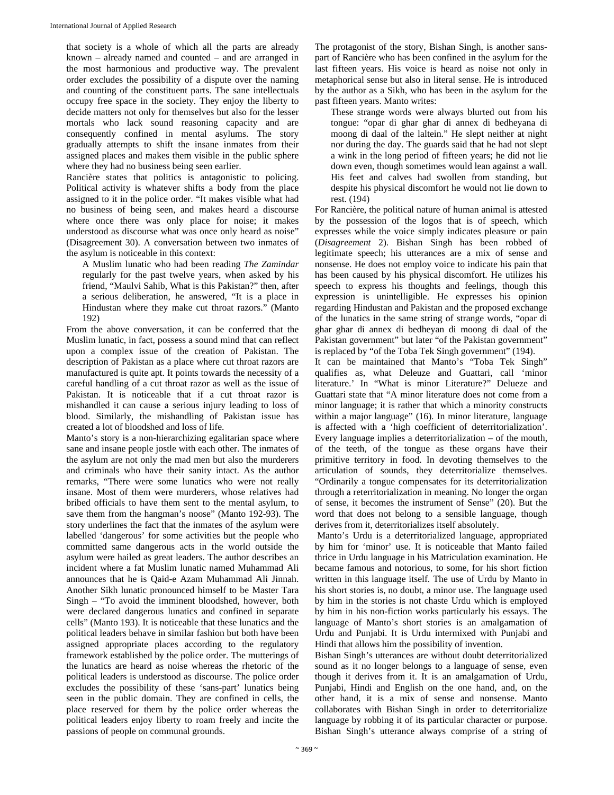that society is a whole of which all the parts are already known – already named and counted – and are arranged in the most harmonious and productive way. The prevalent order excludes the possibility of a dispute over the naming and counting of the constituent parts. The sane intellectuals occupy free space in the society. They enjoy the liberty to decide matters not only for themselves but also for the lesser mortals who lack sound reasoning capacity and are consequently confined in mental asylums. The story gradually attempts to shift the insane inmates from their assigned places and makes them visible in the public sphere where they had no business being seen earlier.

Rancière states that politics is antagonistic to policing. Political activity is whatever shifts a body from the place assigned to it in the police order. "It makes visible what had no business of being seen, and makes heard a discourse where once there was only place for noise; it makes understood as discourse what was once only heard as noise" (Disagreement 30). A conversation between two inmates of the asylum is noticeable in this context:

A Muslim lunatic who had been reading *The Zamindar* regularly for the past twelve years, when asked by his friend, "Maulvi Sahib, What is this Pakistan?" then, after a serious deliberation, he answered, "It is a place in Hindustan where they make cut throat razors." (Manto 192)

From the above conversation, it can be conferred that the Muslim lunatic, in fact, possess a sound mind that can reflect upon a complex issue of the creation of Pakistan. The description of Pakistan as a place where cut throat razors are manufactured is quite apt. It points towards the necessity of a careful handling of a cut throat razor as well as the issue of Pakistan. It is noticeable that if a cut throat razor is mishandled it can cause a serious injury leading to loss of blood. Similarly, the mishandling of Pakistan issue has created a lot of bloodshed and loss of life.

Manto's story is a non-hierarchizing egalitarian space where sane and insane people jostle with each other. The inmates of the asylum are not only the mad men but also the murderers and criminals who have their sanity intact. As the author remarks, "There were some lunatics who were not really insane. Most of them were murderers, whose relatives had bribed officials to have them sent to the mental asylum, to save them from the hangman's noose" (Manto 192-93). The story underlines the fact that the inmates of the asylum were labelled 'dangerous' for some activities but the people who committed same dangerous acts in the world outside the asylum were hailed as great leaders. The author describes an incident where a fat Muslim lunatic named Muhammad Ali announces that he is Qaid-e Azam Muhammad Ali Jinnah. Another Sikh lunatic pronounced himself to be Master Tara Singh – "To avoid the imminent bloodshed, however, both were declared dangerous lunatics and confined in separate cells" (Manto 193). It is noticeable that these lunatics and the political leaders behave in similar fashion but both have been assigned appropriate places according to the regulatory framework established by the police order. The mutterings of the lunatics are heard as noise whereas the rhetoric of the political leaders is understood as discourse. The police order excludes the possibility of these 'sans-part' lunatics being seen in the public domain. They are confined in cells, the place reserved for them by the police order whereas the political leaders enjoy liberty to roam freely and incite the passions of people on communal grounds.

The protagonist of the story, Bishan Singh, is another sanspart of Rancière who has been confined in the asylum for the last fifteen years. His voice is heard as noise not only in metaphorical sense but also in literal sense. He is introduced by the author as a Sikh, who has been in the asylum for the past fifteen years. Manto writes:

These strange words were always blurted out from his tongue: "opar di ghar ghar di annex di bedheyana di moong di daal of the laltein." He slept neither at night nor during the day. The guards said that he had not slept a wink in the long period of fifteen years; he did not lie down even, though sometimes would lean against a wall. His feet and calves had swollen from standing, but despite his physical discomfort he would not lie down to rest. (194)

For Rancière, the political nature of human animal is attested by the possession of the logos that is of speech, which expresses while the voice simply indicates pleasure or pain (*Disagreement* 2). Bishan Singh has been robbed of legitimate speech; his utterances are a mix of sense and nonsense. He does not employ voice to indicate his pain that has been caused by his physical discomfort. He utilizes his speech to express his thoughts and feelings, though this expression is unintelligible. He expresses his opinion regarding Hindustan and Pakistan and the proposed exchange of the lunatics in the same string of strange words, "opar di ghar ghar di annex di bedheyan di moong di daal of the Pakistan government" but later "of the Pakistan government" is replaced by "of the Toba Tek Singh government" (194).

It can be maintained that Manto's "Toba Tek Singh" qualifies as, what Deleuze and Guattari, call 'minor literature.' In "What is minor Literature?" Delueze and Guattari state that "A minor literature does not come from a minor language; it is rather that which a minority constructs within a major language" (16). In minor literature, language is affected with a 'high coefficient of deterritorialization'. Every language implies a deterritorialization – of the mouth, of the teeth, of the tongue as these organs have their primitive territory in food. In devoting themselves to the articulation of sounds, they deterritorialize themselves. "Ordinarily a tongue compensates for its deterritorialization through a reterritorialization in meaning. No longer the organ of sense, it becomes the instrument of Sense" (20). But the word that does not belong to a sensible language, though derives from it, deterritorializes itself absolutely.

 Manto's Urdu is a deterritorialized language, appropriated by him for 'minor' use. It is noticeable that Manto failed thrice in Urdu language in his Matriculation examination. He became famous and notorious, to some, for his short fiction written in this language itself. The use of Urdu by Manto in his short stories is, no doubt, a minor use. The language used by him in the stories is not chaste Urdu which is employed by him in his non-fiction works particularly his essays. The language of Manto's short stories is an amalgamation of Urdu and Punjabi. It is Urdu intermixed with Punjabi and Hindi that allows him the possibility of invention.

Bishan Singh's utterances are without doubt deterritorialized sound as it no longer belongs to a language of sense, even though it derives from it. It is an amalgamation of Urdu, Punjabi, Hindi and English on the one hand, and, on the other hand, it is a mix of sense and nonsense. Manto collaborates with Bishan Singh in order to deterritorialize language by robbing it of its particular character or purpose. Bishan Singh's utterance always comprise of a string of